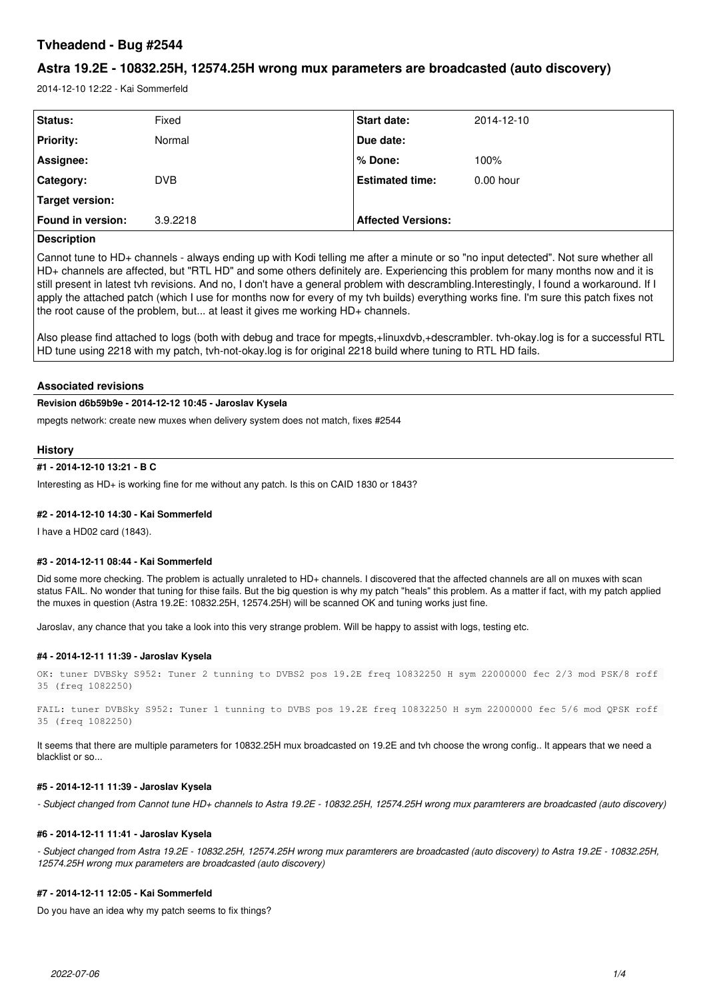# **Tvheadend - Bug #2544**

# **Astra 19.2E - 10832.25H, 12574.25H wrong mux parameters are broadcasted (auto discovery)**

2014-12-10 12:22 - Kai Sommerfeld

| <b>Status:</b>           | Fixed      | <b>Start date:</b>        | 2014-12-10  |
|--------------------------|------------|---------------------------|-------------|
| <b>Priority:</b>         | Normal     | Due date:                 |             |
| Assignee:                |            | l % Done:                 | 100%        |
| <b>Category:</b>         | <b>DVB</b> | <b>Estimated time:</b>    | $0.00$ hour |
| Target version:          |            |                           |             |
| <b>Found in version:</b> | 3.9.2218   | <b>Affected Versions:</b> |             |

# **Description**

Cannot tune to HD+ channels - always ending up with Kodi telling me after a minute or so "no input detected". Not sure whether all HD+ channels are affected, but "RTL HD" and some others definitely are. Experiencing this problem for many months now and it is still present in latest tvh revisions. And no, I don't have a general problem with descrambling.Interestingly, I found a workaround. If I apply the attached patch (which I use for months now for every of my tvh builds) everything works fine. I'm sure this patch fixes not the root cause of the problem, but... at least it gives me working HD+ channels.

Also please find attached to logs (both with debug and trace for mpegts,+linuxdvb,+descrambler. tvh-okay.log is for a successful RTL HD tune using 2218 with my patch, tvh-not-okay.log is for original 2218 build where tuning to RTL HD fails.

# **Associated revisions**

# **Revision d6b59b9e - 2014-12-12 10:45 - Jaroslav Kysela**

mpegts network: create new muxes when delivery system does not match, fixes #2544

# **History**

# **#1 - 2014-12-10 13:21 - B C**

Interesting as HD+ is working fine for me without any patch. Is this on CAID 1830 or 1843?

# **#2 - 2014-12-10 14:30 - Kai Sommerfeld**

I have a HD02 card (1843).

### **#3 - 2014-12-11 08:44 - Kai Sommerfeld**

Did some more checking. The problem is actually unraleted to HD+ channels. I discovered that the affected channels are all on muxes with scan status FAIL. No wonder that tuning for thise fails. But the big question is why my patch "heals" this problem. As a matter if fact, with my patch applied the muxes in question (Astra 19.2E: 10832.25H, 12574.25H) will be scanned OK and tuning works just fine.

Jaroslav, any chance that you take a look into this very strange problem. Will be happy to assist with logs, testing etc.

### **#4 - 2014-12-11 11:39 - Jaroslav Kysela**

OK: tuner DVBSky S952: Tuner 2 tunning to DVBS2 pos 19.2E freq 10832250 H sym 22000000 fec 2/3 mod PSK/8 roff 35 (freq 1082250)

FAIL: tuner DVBSky S952: Tuner 1 tunning to DVBS pos 19.2E freq 10832250 H sym 22000000 fec 5/6 mod QPSK roff 35 (freq 1082250)

It seems that there are multiple parameters for 10832.25H mux broadcasted on 19.2E and tvh choose the wrong config.. It appears that we need a blacklist or so...

# **#5 - 2014-12-11 11:39 - Jaroslav Kysela**

*- Subject changed from Cannot tune HD+ channels to Astra 19.2E - 10832.25H, 12574.25H wrong mux paramterers are broadcasted (auto discovery)*

### **#6 - 2014-12-11 11:41 - Jaroslav Kysela**

*- Subject changed from Astra 19.2E - 10832.25H, 12574.25H wrong mux paramterers are broadcasted (auto discovery) to Astra 19.2E - 10832.25H, 12574.25H wrong mux parameters are broadcasted (auto discovery)*

# **#7 - 2014-12-11 12:05 - Kai Sommerfeld**

Do you have an idea why my patch seems to fix things?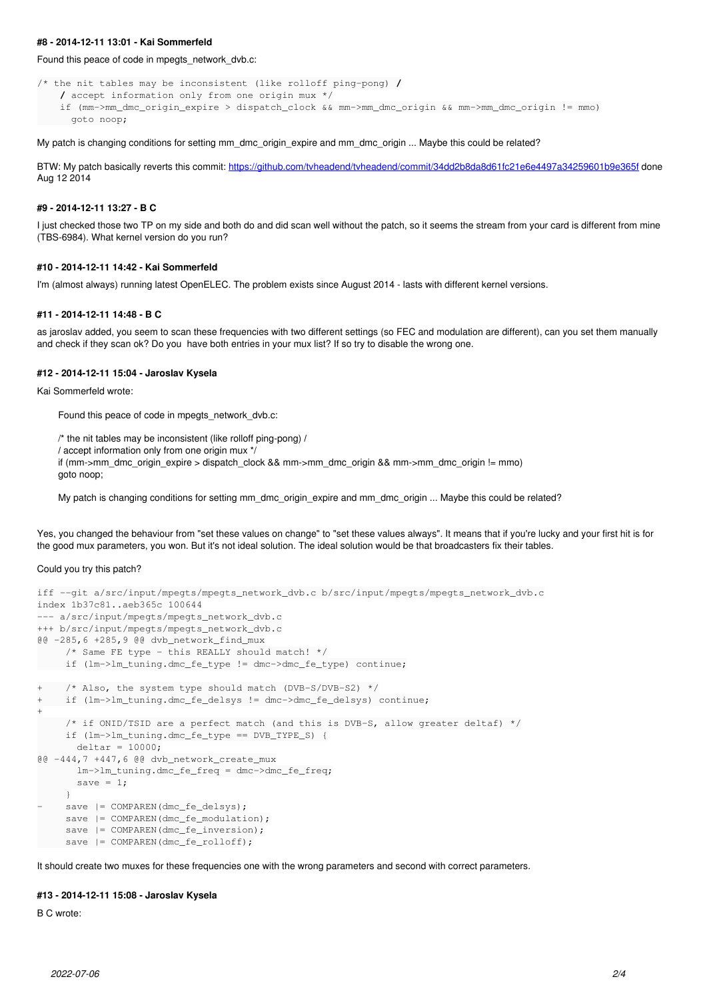### **#8 - 2014-12-11 13:01 - Kai Sommerfeld**

# Found this peace of code in mpegts network dvb.c:

```
/* the nit tables may be inconsistent (like rolloff ping-pong) /
        / accept information only from one origin mux */
       if (mm->mm_dmc_origin_expire > dispatch_clock && mm->mm_dmc_origin && mm->mm_dmc_origin != mmo)
           goto noop;
```
My patch is changing conditions for setting mm\_dmc\_origin\_expire and mm\_dmc\_origin ... Maybe this could be related?

BTW: My patch basically reverts this commit: <https://github.com/tvheadend/tvheadend/commit/34dd2b8da8d61fc21e6e4497a34259601b9e365f> done Aug 12 2014

### **#9 - 2014-12-11 13:27 - B C**

I just checked those two TP on my side and both do and did scan well without the patch, so it seems the stream from your card is different from mine (TBS-6984). What kernel version do you run?

# **#10 - 2014-12-11 14:42 - Kai Sommerfeld**

I'm (almost always) running latest OpenELEC. The problem exists since August 2014 - lasts with different kernel versions.

#### **#11 - 2014-12-11 14:48 - B C**

as jaroslav added, you seem to scan these frequencies with two different settings (so FEC and modulation are different), can you set them manually and check if they scan ok? Do you have both entries in your mux list? If so try to disable the wrong one.

# **#12 - 2014-12-11 15:04 - Jaroslav Kysela**

Kai Sommerfeld wrote:

Found this peace of code in mpegts\_network\_dvb.c:

/\* the nit tables may be inconsistent (like rolloff ping-pong) **/**

**/** accept information only from one origin mux \*/

if (mm->mm\_dmc\_origin\_expire > dispatch\_clock && mm->mm\_dmc\_origin && mm->mm\_dmc\_origin != mmo) goto noop;

My patch is changing conditions for setting mm\_dmc\_origin\_expire and mm\_dmc\_origin ... Maybe this could be related?

Yes, you changed the behaviour from "set these values on change" to "set these values always". It means that if you're lucky and your first hit is for the good mux parameters, you won. But it's not ideal solution. The ideal solution would be that broadcasters fix their tables.

# Could you try this patch?

```
iff --git a/src/input/mpegts/mpegts_network_dvb.c b/src/input/mpegts/mpegts_network_dvb.c
index 1b37c81..aeb365c 100644
--- a/src/input/mpegts/mpegts_network_dvb.c
+++ b/src/input/mpegts/mpegts_network_dvb.c
@@ -285,6 +285,9 @@ dvb_network_find_mux
     /* Same FE type - this REALLY should match! */
          if (lm->lm_tuning.dmc_fe_type != dmc->dmc_fe_type) continue;
+    /* Also, the system type should match (DVB-S/DVB-S2) */
+ if (lm->lm_tuning.dmc fe_delsys != dmc->dmc_fe_delsys) continue;
+
          /* if ONID/TSID are a perfect match (and this is DVB-S, allow greater deltaf) */
          if (lm->lm_tuning.dmc_fe_type == DVB_TYPE_S) {
       delta = 10000;@@ -444,7 +447,6 @@ dvb_network_create_mux
              lm->lm_tuning.dmc_fe_freq = dmc->dmc_fe_freq;
       save = 1;     }
     save | = \text{COMPARENT}(\text{dmc\_fe\_delsys});save | = \text{COMPARENT}(\text{dmc_fe_modelation});
     save | = COMPAREN(dmc_fe_inversion);
     save | = \text{COMPARENT}(\text{dmc\_fe\_rolloff});
```
It should create two muxes for these frequencies one with the wrong parameters and second with correct parameters.

### **#13 - 2014-12-11 15:08 - Jaroslav Kysela**

B C wrote: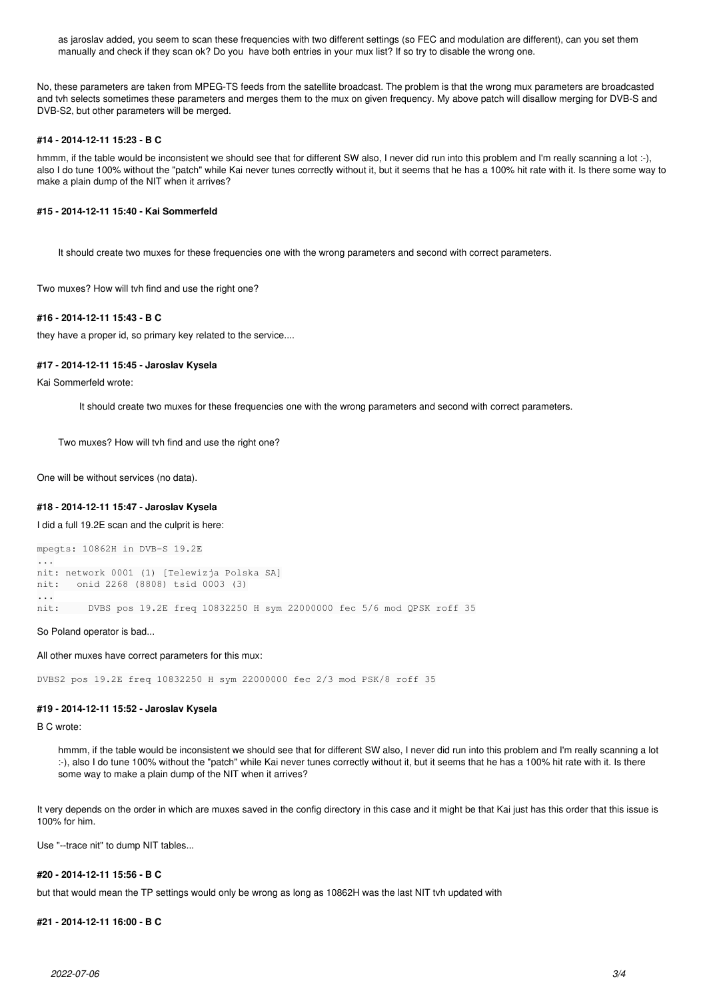as jaroslav added, you seem to scan these frequencies with two different settings (so FEC and modulation are different), can you set them manually and check if they scan ok? Do you have both entries in your mux list? If so try to disable the wrong one.

No, these parameters are taken from MPEG-TS feeds from the satellite broadcast. The problem is that the wrong mux parameters are broadcasted and tvh selects sometimes these parameters and merges them to the mux on given frequency. My above patch will disallow merging for DVB-S and DVB-S2, but other parameters will be merged.

# **#14 - 2014-12-11 15:23 - B C**

hmmm, if the table would be inconsistent we should see that for different SW also. I never did run into this problem and I'm really scanning a lot :-). also I do tune 100% without the "patch" while Kai never tunes correctly without it, but it seems that he has a 100% hit rate with it. Is there some way to make a plain dump of the NIT when it arrives?

# **#15 - 2014-12-11 15:40 - Kai Sommerfeld**

It should create two muxes for these frequencies one with the wrong parameters and second with correct parameters.

Two muxes? How will tvh find and use the right one?

### **#16 - 2014-12-11 15:43 - B C**

they have a proper id, so primary key related to the service....

### **#17 - 2014-12-11 15:45 - Jaroslav Kysela**

Kai Sommerfeld wrote:

It should create two muxes for these frequencies one with the wrong parameters and second with correct parameters.

Two muxes? How will tvh find and use the right one?

One will be without services (no data).

### **#18 - 2014-12-11 15:47 - Jaroslav Kysela**

I did a full 19.2E scan and the culprit is here:

```
mpegts: 10862H in DVB-S 19.2E
...
nit: network 0001 (1) [Telewizja Polska SA]
nit:   onid 2268 (8808) tsid 0003 (3)
...
nit:     DVBS pos 19.2E freq 10832250 H sym 22000000 fec 5/6 mod QPSK roff 35
```
So Poland operator is bad...

All other muxes have correct parameters for this mux:

DVBS2 pos 19.2E freq 10832250 H sym 22000000 fec 2/3 mod PSK/8 roff 35

### **#19 - 2014-12-11 15:52 - Jaroslav Kysela**

B C wrote:

hmmm, if the table would be inconsistent we should see that for different SW also, I never did run into this problem and I'm really scanning a lot :-), also I do tune 100% without the "patch" while Kai never tunes correctly without it, but it seems that he has a 100% hit rate with it. Is there some way to make a plain dump of the NIT when it arrives?

It very depends on the order in which are muxes saved in the config directory in this case and it might be that Kai just has this order that this issue is 100% for him.

Use "--trace nit" to dump NIT tables...

### **#20 - 2014-12-11 15:56 - B C**

but that would mean the TP settings would only be wrong as long as 10862H was the last NIT tvh updated with

### **#21 - 2014-12-11 16:00 - B C**